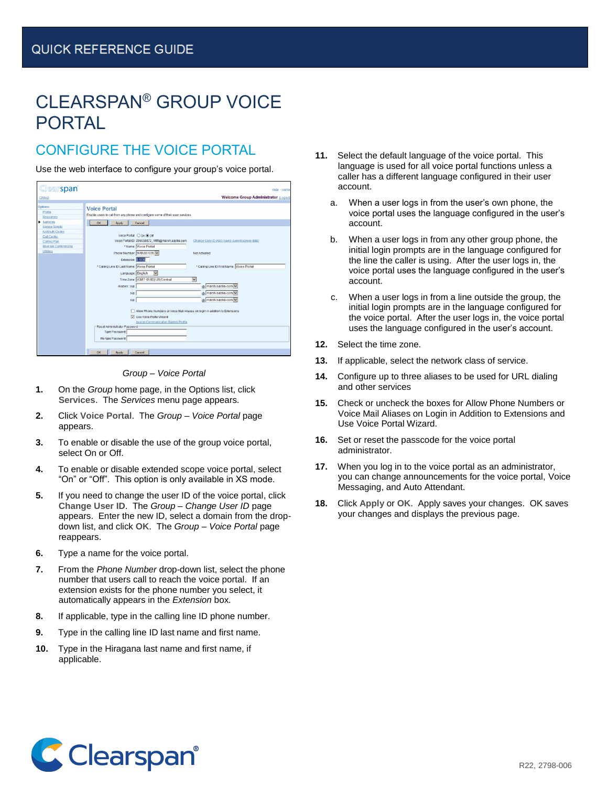# CLEARSPAN® GROUP VOICE PORTAL

## CONFIGURE THE VOICE PORTAL

Use the web interface to configure your group's voice portal.

| <b>Clearspan</b>                         | Help - Home                                                                                        |
|------------------------------------------|----------------------------------------------------------------------------------------------------|
| Group                                    | <b>Welcome Group Administrator [Logout]</b>                                                        |
| Options:<br>Profile                      | <b>Voice Portal</b>                                                                                |
| <b>Resources</b>                         | Enable users to call from any phone and configure some of their user services.                     |
| Services<br><b>Service Scripts</b>       | OK<br>Cancel<br>Apply                                                                              |
| <b>Acct/Auth Codes</b>                   |                                                                                                    |
| <b>Call Center</b>                       | Voice Portal: O On @ Off                                                                           |
| Calling Plan                             | Voice Portal ID: 296058872_VMR@marsh.aastra.com<br>Change User ID (Also saves current screen data) |
| Meet-Me Conferencing<br><b>Utilities</b> | * Name: Voice Portal                                                                               |
|                                          | Phone Number: 9785551035<br>Not Activated                                                          |
|                                          | Extension: 51035                                                                                   |
|                                          | * Calling Line ID First Name: Voice Portal<br>* Calling Line ID Last Name: Voice Portal            |
|                                          | Language: English                                                                                  |
|                                          | Time Zone: (GMT-05:00) US/Central<br>v                                                             |
|                                          | marsh.aastra.com<br>Aliases: sip:                                                                  |
|                                          | @ marsh.aastra.com<br>sip:                                                                         |
|                                          | marsh.aastra.com<br>sip:                                                                           |
|                                          |                                                                                                    |
|                                          | Allow Phone Numbers or Voice Mail Aliases on login in addition to Extensions                       |
|                                          | V Use Voice Portal Wizard                                                                          |
|                                          | <b>Assign Communication Barring Profile</b>                                                        |
|                                          | -Reset Administrator Password<br><b>Type Password:</b>                                             |
|                                          | Re-type Password:                                                                                  |
|                                          |                                                                                                    |
|                                          |                                                                                                    |
|                                          | OK<br>Cancel<br>Apply                                                                              |



- **1.** On the *Group* home page, in the Options list, click **Services**. The *Services* menu page appears.
- **2.** Click **Voice Portal**. The *Group – Voice Portal* page appears.
- **3.** To enable or disable the use of the group voice portal, select On or Off.
- **4.** To enable or disable extended scope voice portal, select "On" or "Off". This option is only available in XS mode.
- **5.** If you need to change the user ID of the voice portal, click **Change User ID**. The *Group – Change User ID* page appears. Enter the new ID, select a domain from the dropdown list, and click **OK**. The *Group – Voice Portal* page reappears.
- **6.** Type a name for the voice portal.
- **7.** From the *Phone Number* drop-down list, select the phone number that users call to reach the voice portal. If an extension exists for the phone number you select, it automatically appears in the *Extension* box.
- **8.** If applicable, type in the calling line ID phone number.
- **9.** Type in the calling line ID last name and first name.
- **10.** Type in the Hiragana last name and first name, if applicable.
- **11.** Select the default language of the voice portal. This language is used for all voice portal functions unless a caller has a different language configured in their user account.
	- a. When a user logs in from the user's own phone, the voice portal uses the language configured in the user's account.
	- b. When a user logs in from any other group phone, the initial login prompts are in the language configured for the line the caller is using. After the user logs in, the voice portal uses the language configured in the user's account.
	- c. When a user logs in from a line outside the group, the initial login prompts are in the language configured for the voice portal. After the user logs in, the voice portal uses the language configured in the user's account.
- **12.** Select the time zone.
- **13.** If applicable, select the network class of service.
- **14.** Configure up to three aliases to be used for URL dialing and other services
- **15.** Check or uncheck the boxes for Allow Phone Numbers or Voice Mail Aliases on Login in Addition to Extensions and Use Voice Portal Wizard.
- **16.** Set or reset the passcode for the voice portal administrator.
- **17.** When you log in to the voice portal as an administrator, you can change announcements for the voice portal, Voice Messaging, and Auto Attendant.
- **18.** Click **Apply** or **OK**. Apply saves your changes. OK saves your changes and displays the previous page.

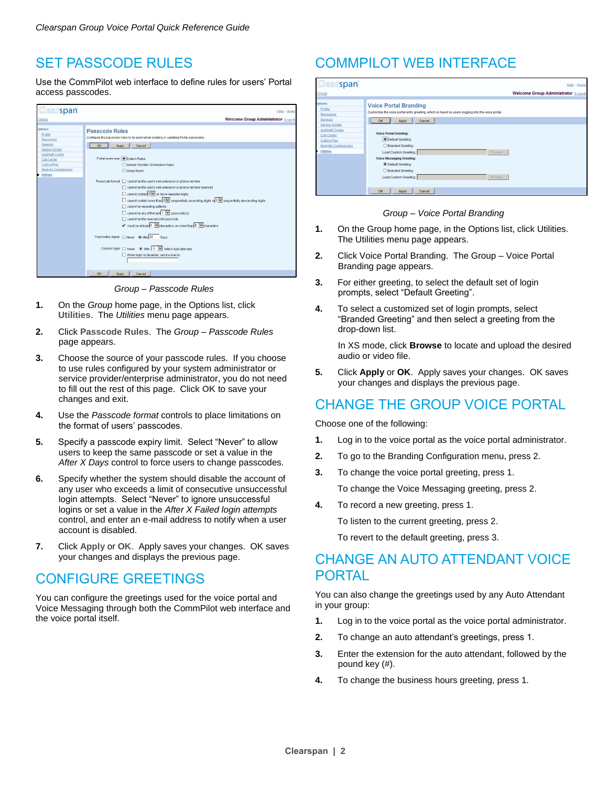#### SET PASSCODE RULES

Use the CommPilot web interface to define rules for users' Portal access passcodes.



*Group – Passcode Rules*

- **1.** On the *Group* home page, in the Options list, click **Utilities**. The *Utilities* menu page appears.
- **2.** Click **Passcode Rules**. The *Group – Passcode Rules* page appears.
- **3.** Choose the source of your passcode rules. If you choose to use rules configured by your system administrator or service provider/enterprise administrator, you do not need to fill out the rest of this page. Click **OK** to save your changes and exit.
- **4.** Use the *Passcode format* controls to place limitations on the format of users' passcodes.
- **5.** Specify a passcode expiry limit. Select "Never" to allow users to keep the same passcode or set a value in the *After X Days* control to force users to change passcodes.
- **6.** Specify whether the system should disable the account of any user who exceeds a limit of consecutive unsuccessful login attempts. Select "Never" to ignore unsuccessful logins or set a value in the *After X Failed login attempts* control, and enter an e-mail address to notify when a user account is disabled.
- **7.** Click **Apply** or **OK**. Apply saves your changes. OK saves your changes and displays the previous page.

## CONFIGURE GREETINGS

You can configure the greetings used for the voice portal and Voice Messaging through both the CommPilot web interface and the voice portal itself.

## COMMPILOT WEB INTERFACE

| <b>Clearspan</b>                                                                | Help - Home                                                                                                                       |
|---------------------------------------------------------------------------------|-----------------------------------------------------------------------------------------------------------------------------------|
| Group                                                                           | Welcome Group Administrator [Logout]                                                                                              |
| Dotions:<br>Profile<br>Resources<br>Services                                    | <b>Voice Portal Branding</b><br>Customize the voice portal entry greeting, which is heard by users logging into the voice portal. |
| <b>Service Scripts</b><br><b>Acct/Auth Codes</b><br>Call Center<br>Calling Plan | OK<br>Apply<br>Cancel<br><b>Voice Portal Greeting:</b><br><b>ODefault Greeting</b>                                                |
| Meet-Me Conferencing<br><b>Utilities</b>                                        | ◯ Branded Greeting<br>Load Custom Greeting:<br>Browse<br><b>Voice Messaging Greeting:</b>                                         |
|                                                                                 | <b>O Default Greeting</b><br>○ Branded Greeting                                                                                   |
|                                                                                 | Load Custom Greeting:<br>Browse                                                                                                   |
|                                                                                 | <b>OK</b><br>Cancel<br>Apply                                                                                                      |

#### *Group – Voice Portal Branding*

- **1.** On the Group home page, in the Options list, click Utilities. The Utilities menu page appears.
- **2.** Click Voice Portal Branding. The Group Voice Portal Branding page appears.
- **3.** For either greeting, to select the default set of login prompts, select "Default Greeting".
- **4.** To select a customized set of login prompts, select "Branded Greeting" and then select a greeting from the drop-down list.

In XS mode, click **Browse** to locate and upload the desired audio or video file.

**5.** Click **Apply** or **OK**. Apply saves your changes. OK saves your changes and displays the previous page.

### CHANGE THE GROUP VOICE PORTAL

Choose one of the following:

- **1.** Log in to the voice portal as the voice portal administrator.
- **2.** To go to the Branding Configuration menu, press 2.
- **3.** To change the voice portal greeting, press 1.

To change the Voice Messaging greeting, press 2.

**4.** To record a new greeting, press 1.

To listen to the current greeting, press 2.

To revert to the default greeting, press 3.

#### CHANGE AN AUTO ATTENDANT VOICE PORTAL

You can also change the greetings used by any Auto Attendant in your group:

- **1.** Log in to the voice portal as the voice portal administrator.
- **2.** To change an auto attendant's greetings, press 1.
- **3.** Enter the extension for the auto attendant, followed by the pound key (#).
- **4.** To change the business hours greeting, press 1.